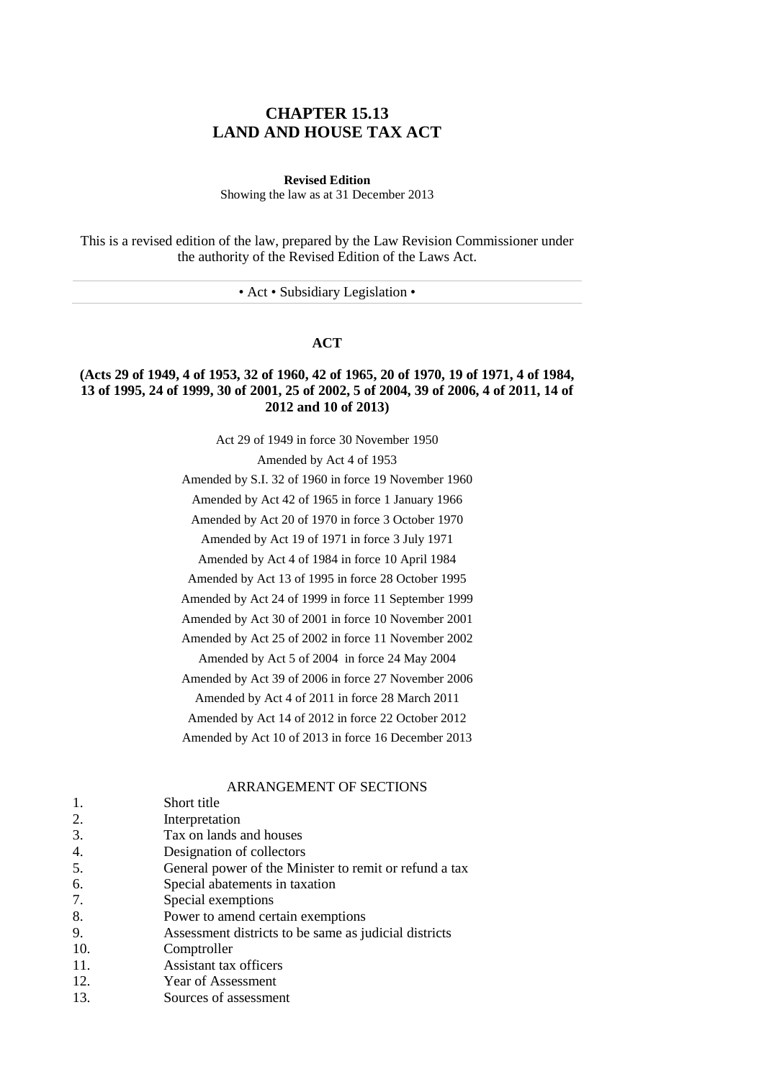# **CHAPTER 15.13 LAND AND HOUSE TAX ACT**

**Revised Edition**

Showing the law as at 31 December 2013

This is a revised edition of the law, prepared by the Law Revision Commissioner under the authority of the Revised Edition of the Laws Act.

• Act • Subsidiary Legislation •

# **ACT**

# **(Acts 29 of 1949, 4 of 1953, 32 of 1960, 42 of 1965, 20 of 1970, 19 of 1971, 4 of 1984, 13 of 1995, 24 of 1999, 30 of 2001, 25 of 2002, 5 of 2004, 39 of 2006, 4 of 2011, 14 of 2012 and 10 of 2013)**

Act 29 of 1949 in force 30 November 1950

Amended by Act 4 of 1953

Amended by S.I. 32 of 1960 in force 19 November 1960

Amended by Act 42 of 1965 in force 1 January 1966

Amended by Act 20 of 1970 in force 3 October 1970

Amended by Act 19 of 1971 in force 3 July 1971

Amended by Act 4 of 1984 in force 10 April 1984

Amended by Act 13 of 1995 in force 28 October 1995

Amended by Act 24 of 1999 in force 11 September 1999

Amended by Act 30 of 2001 in force 10 November 2001

Amended by Act 25 of 2002 in force 11 November 2002

Amended by Act 5 of 2004 in force 24 May 2004

Amended by Act 39 of 2006 in force 27 November 2006

Amended by Act 4 of 2011 in force 28 March 2011

Amended by Act 14 of 2012 in force 22 October 2012

Amended by Act 10 of 2013 in force 16 December 2013

### ARRANGEMENT OF SECTIONS

|     | Short title                                            |
|-----|--------------------------------------------------------|
| 2.  | Interpretation                                         |
| 3.  | Tax on lands and houses                                |
| 4.  | Designation of collectors                              |
| 5.  | General power of the Minister to remit or refund a tax |
| 6.  | Special abatements in taxation                         |
| 7.  | Special exemptions                                     |
| 8.  | Power to amend certain exemptions                      |
| 9.  | Assessment districts to be same as judicial districts  |
| 10. | Comptroller                                            |
| 11. | Assistant tax officers                                 |
| 12. | Year of Assessment                                     |
| 13. | Sources of assessment                                  |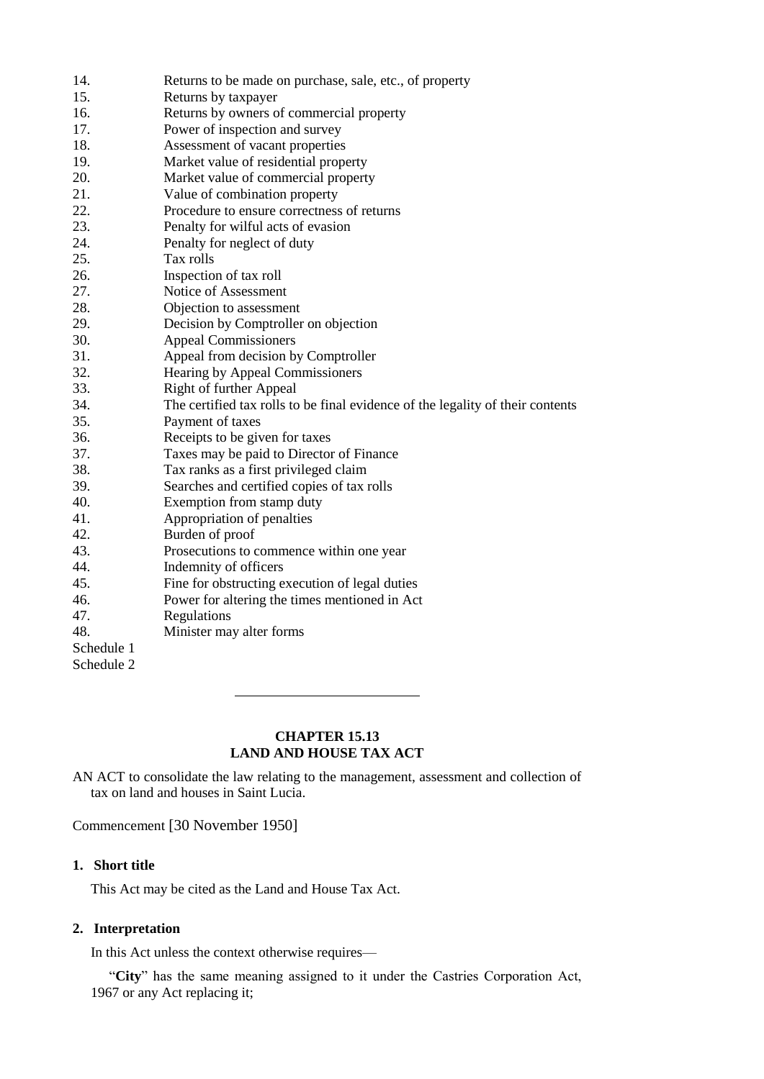| 14.        | Returns to be made on purchase, sale, etc., of property                        |
|------------|--------------------------------------------------------------------------------|
| 15.        | Returns by taxpayer                                                            |
| 16.        | Returns by owners of commercial property                                       |
| 17.        | Power of inspection and survey                                                 |
| 18.        | Assessment of vacant properties                                                |
| 19.        | Market value of residential property                                           |
| 20.        | Market value of commercial property                                            |
| 21.        | Value of combination property                                                  |
| 22.        | Procedure to ensure correctness of returns                                     |
| 23.        | Penalty for wilful acts of evasion                                             |
| 24.        | Penalty for neglect of duty                                                    |
| 25.        | Tax rolls                                                                      |
| 26.        | Inspection of tax roll                                                         |
| 27.        | Notice of Assessment                                                           |
| 28.        | Objection to assessment                                                        |
| 29.        | Decision by Comptroller on objection                                           |
| 30.        | <b>Appeal Commissioners</b>                                                    |
| 31.        | Appeal from decision by Comptroller                                            |
| 32.        | Hearing by Appeal Commissioners                                                |
| 33.        | <b>Right of further Appeal</b>                                                 |
| 34.        | The certified tax rolls to be final evidence of the legality of their contents |
| 35.        | Payment of taxes                                                               |
| 36.        | Receipts to be given for taxes                                                 |
| 37.        | Taxes may be paid to Director of Finance                                       |
| 38.        | Tax ranks as a first privileged claim                                          |
| 39.        | Searches and certified copies of tax rolls                                     |
| 40.        | Exemption from stamp duty                                                      |
| 41.        | Appropriation of penalties                                                     |
| 42.        | Burden of proof                                                                |
| 43.        | Prosecutions to commence within one year                                       |
| 44.        | Indemnity of officers                                                          |
| 45.        | Fine for obstructing execution of legal duties                                 |
| 46.        | Power for altering the times mentioned in Act                                  |
| 47.        | Regulations                                                                    |
| 48.        | Minister may alter forms                                                       |
| Schedule 1 |                                                                                |
| Schedule 2 |                                                                                |

# **CHAPTER 15.13 LAND AND HOUSE TAX ACT**

AN ACT to consolidate the law relating to the management, assessment and collection of tax on land and houses in Saint Lucia.

Commencement [30 November 1950]

# **1. Short title**

This Act may be cited as the Land and House Tax Act.

# **2. Interpretation**

In this Act unless the context otherwise requires—

"**City**" has the same meaning assigned to it under the Castries Corporation Act, 1967 or any Act replacing it;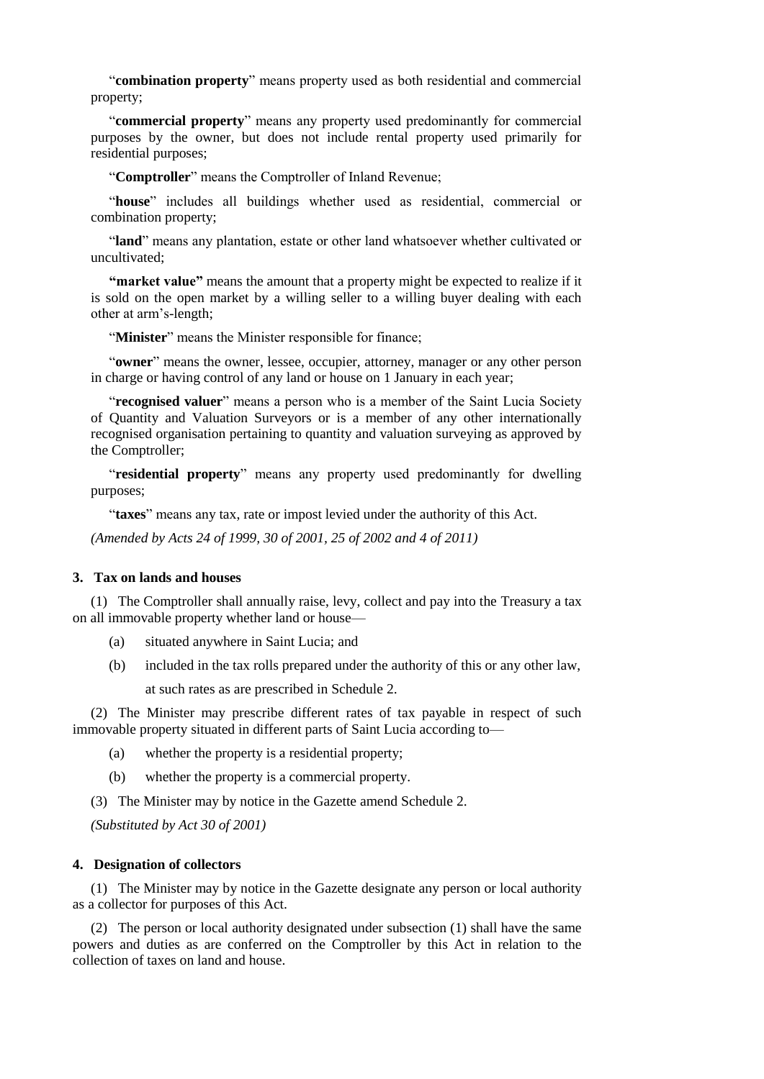"**combination property**" means property used as both residential and commercial property;

"**commercial property**" means any property used predominantly for commercial purposes by the owner, but does not include rental property used primarily for residential purposes;

"**Comptroller**" means the Comptroller of Inland Revenue;

"**house**" includes all buildings whether used as residential, commercial or combination property;

"**land**" means any plantation, estate or other land whatsoever whether cultivated or uncultivated;

**"market value"** means the amount that a property might be expected to realize if it is sold on the open market by a willing seller to a willing buyer dealing with each other at arm's-length;

"**Minister**" means the Minister responsible for finance;

"**owner**" means the owner, lessee, occupier, attorney, manager or any other person in charge or having control of any land or house on 1 January in each year;

"**recognised valuer**" means a person who is a member of the Saint Lucia Society of Quantity and Valuation Surveyors or is a member of any other internationally recognised organisation pertaining to quantity and valuation surveying as approved by the Comptroller;

"**residential property**" means any property used predominantly for dwelling purposes;

"**taxes**" means any tax, rate or impost levied under the authority of this Act.

*(Amended by Acts 24 of 1999, 30 of 2001, 25 of 2002 and 4 of 2011)*

## **3. Tax on lands and houses**

(1) The Comptroller shall annually raise, levy, collect and pay into the Treasury a tax on all immovable property whether land or house—

- (a) situated anywhere in Saint Lucia; and
- (b) included in the tax rolls prepared under the authority of this or any other law,

at such rates as are prescribed in Schedule 2.

(2) The Minister may prescribe different rates of tax payable in respect of such immovable property situated in different parts of Saint Lucia according to—

- (a) whether the property is a residential property;
- (b) whether the property is a commercial property.

(3) The Minister may by notice in the Gazette amend Schedule 2.

*(Substituted by Act 30 of 2001)*

## **4. Designation of collectors**

(1) The Minister may by notice in the Gazette designate any person or local authority as a collector for purposes of this Act.

(2) The person or local authority designated under subsection (1) shall have the same powers and duties as are conferred on the Comptroller by this Act in relation to the collection of taxes on land and house.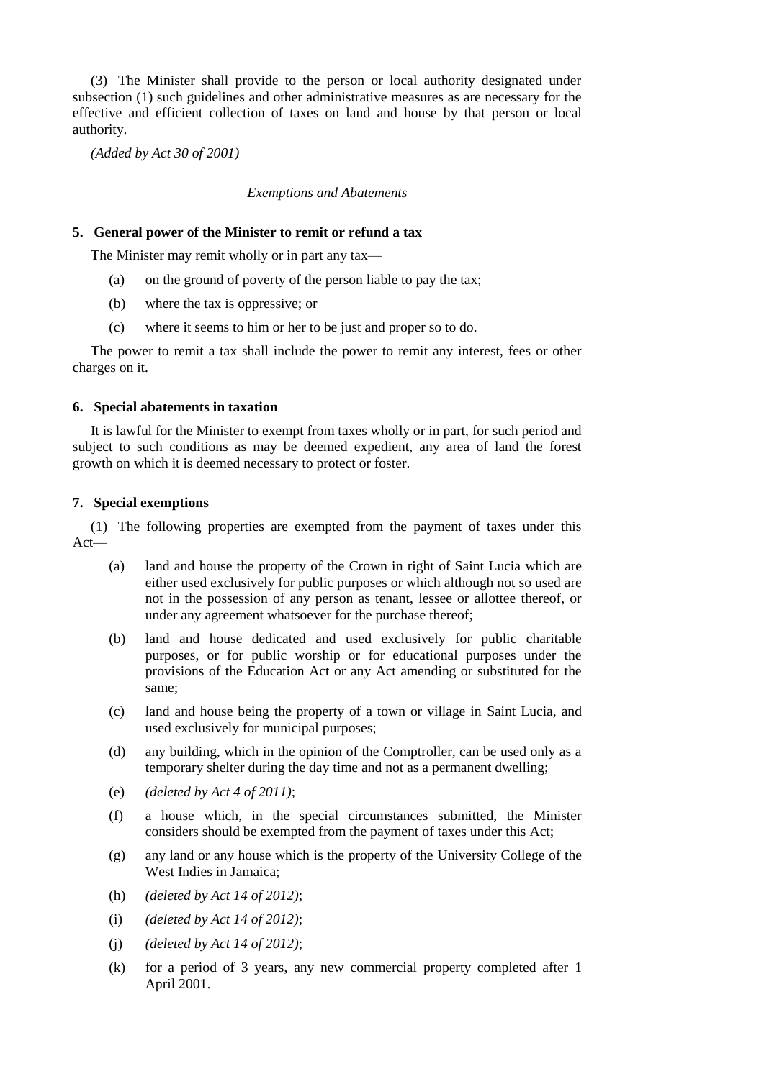(3) The Minister shall provide to the person or local authority designated under subsection (1) such guidelines and other administrative measures as are necessary for the effective and efficient collection of taxes on land and house by that person or local authority.

*(Added by Act 30 of 2001)*

# *Exemptions and Abatements*

## **5. General power of the Minister to remit or refund a tax**

The Minister may remit wholly or in part any tax—

- (a) on the ground of poverty of the person liable to pay the tax;
- (b) where the tax is oppressive; or
- (c) where it seems to him or her to be just and proper so to do.

The power to remit a tax shall include the power to remit any interest, fees or other charges on it.

## **6. Special abatements in taxation**

It is lawful for the Minister to exempt from taxes wholly or in part, for such period and subject to such conditions as may be deemed expedient, any area of land the forest growth on which it is deemed necessary to protect or foster.

# **7. Special exemptions**

(1) The following properties are exempted from the payment of taxes under this Act—

- (a) land and house the property of the Crown in right of Saint Lucia which are either used exclusively for public purposes or which although not so used are not in the possession of any person as tenant, lessee or allottee thereof, or under any agreement whatsoever for the purchase thereof;
- (b) land and house dedicated and used exclusively for public charitable purposes, or for public worship or for educational purposes under the provisions of the Education Act or any Act amending or substituted for the same;
- (c) land and house being the property of a town or village in Saint Lucia, and used exclusively for municipal purposes;
- (d) any building, which in the opinion of the Comptroller, can be used only as a temporary shelter during the day time and not as a permanent dwelling;
- (e) *(deleted by Act 4 of 2011)*;
- (f) a house which, in the special circumstances submitted, the Minister considers should be exempted from the payment of taxes under this Act;
- (g) any land or any house which is the property of the University College of the West Indies in Jamaica;
- (h) *(deleted by Act 14 of 2012)*;
- (i) *(deleted by Act 14 of 2012)*;
- (j) *(deleted by Act 14 of 2012)*;
- (k) for a period of 3 years, any new commercial property completed after 1 April 2001.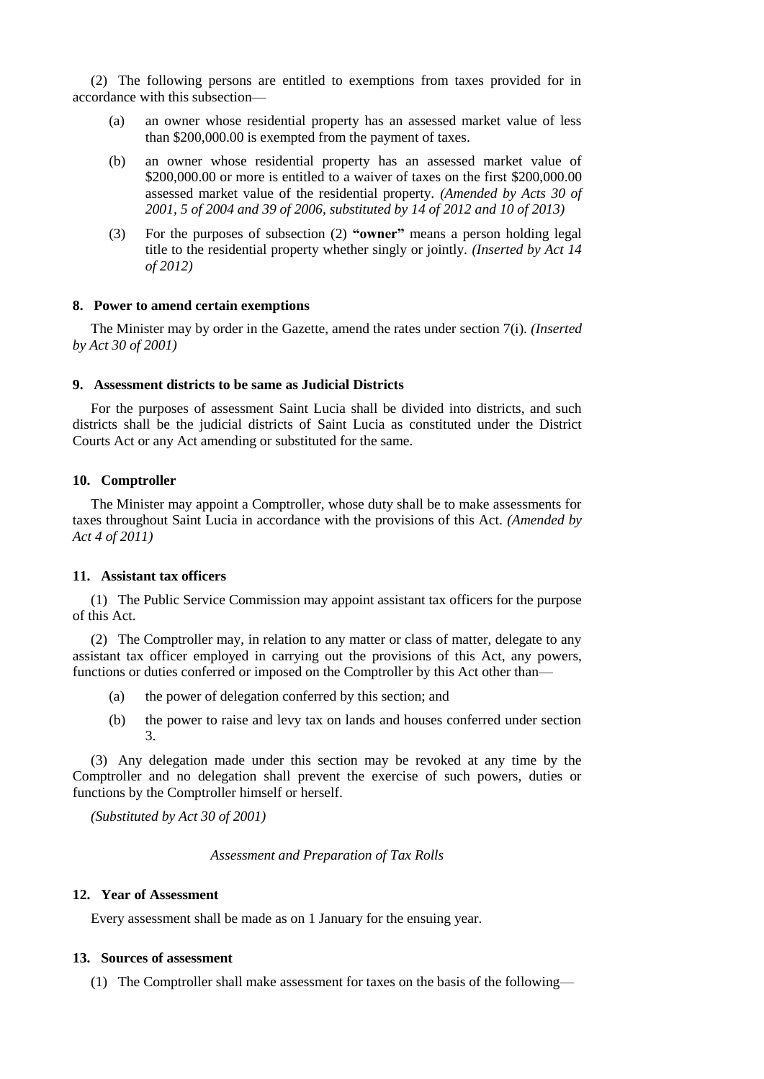(2) The following persons are entitled to exemptions from taxes provided for in accordance with this subsection—

- (a) an owner whose residential property has an assessed market value of less than \$200,000.00 is exempted from the payment of taxes.
- (b) an owner whose residential property has an assessed market value of \$200,000.00 or more is entitled to a waiver of taxes on the first \$200,000.00 assessed market value of the residential property. *(Amended by Acts 30 of 2001, 5 of 2004 and 39 of 2006, substituted by 14 of 2012 and 10 of 2013)*
- (3) For the purposes of subsection (2) **"owner"** means a person holding legal title to the residential property whether singly or jointly. *(Inserted by Act 14 of 2012)*

## **8. Power to amend certain exemptions**

The Minister may by order in the Gazette, amend the rates under section 7(i). *(Inserted by Act 30 of 2001)*

## **9. Assessment districts to be same as Judicial Districts**

For the purposes of assessment Saint Lucia shall be divided into districts, and such districts shall be the judicial districts of Saint Lucia as constituted under the District Courts Act or any Act amending or substituted for the same.

### **10. Comptroller**

The Minister may appoint a Comptroller, whose duty shall be to make assessments for taxes throughout Saint Lucia in accordance with the provisions of this Act. *(Amended by Act 4 of 2011)*

### **11. Assistant tax officers**

(1) The Public Service Commission may appoint assistant tax officers for the purpose of this Act.

(2) The Comptroller may, in relation to any matter or class of matter, delegate to any assistant tax officer employed in carrying out the provisions of this Act, any powers, functions or duties conferred or imposed on the Comptroller by this Act other than—

- (a) the power of delegation conferred by this section; and
- (b) the power to raise and levy tax on lands and houses conferred under section 3.

(3) Any delegation made under this section may be revoked at any time by the Comptroller and no delegation shall prevent the exercise of such powers, duties or functions by the Comptroller himself or herself.

*(Substituted by Act 30 of 2001)*

*Assessment and Preparation of Tax Rolls*

### **12. Year of Assessment**

Every assessment shall be made as on 1 January for the ensuing year.

### **13. Sources of assessment**

(1) The Comptroller shall make assessment for taxes on the basis of the following—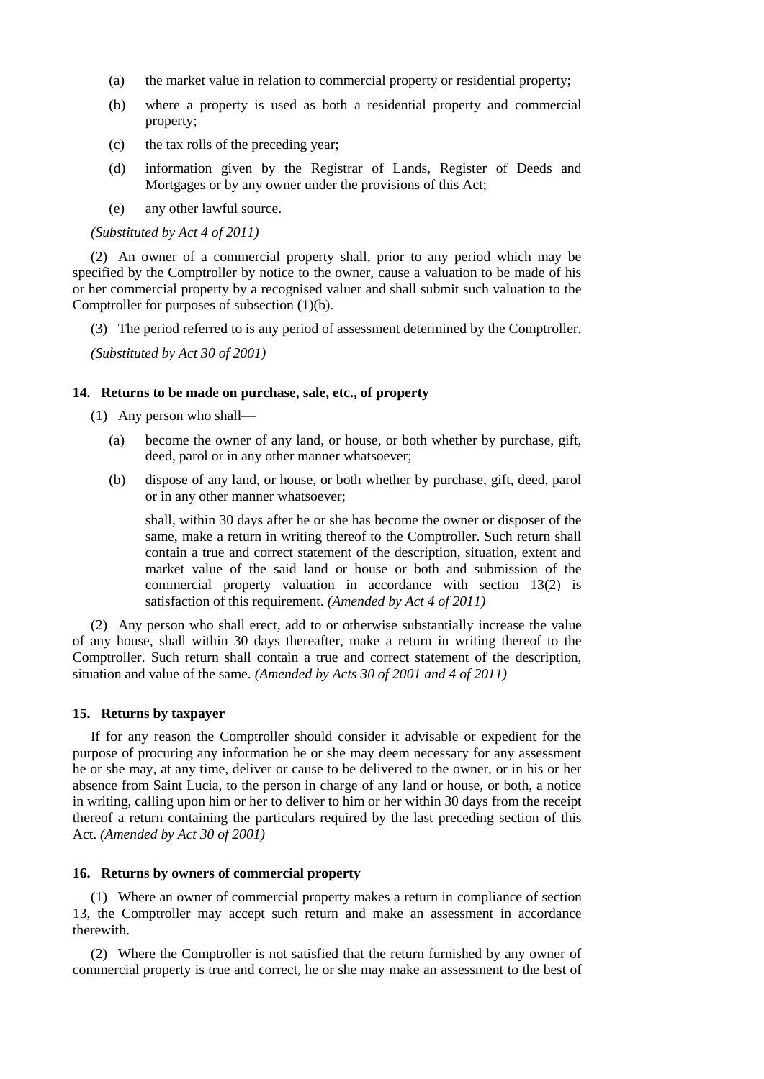- (a) the market value in relation to commercial property or residential property;
- (b) where a property is used as both a residential property and commercial property;
- (c) the tax rolls of the preceding year;
- (d) information given by the Registrar of Lands, Register of Deeds and Mortgages or by any owner under the provisions of this Act;
- (e) any other lawful source.

### *(Substituted by Act 4 of 2011)*

(2) An owner of a commercial property shall, prior to any period which may be specified by the Comptroller by notice to the owner, cause a valuation to be made of his or her commercial property by a recognised valuer and shall submit such valuation to the Comptroller for purposes of subsection (1)(b).

(3) The period referred to is any period of assessment determined by the Comptroller.

*(Substituted by Act 30 of 2001)*

## **14. Returns to be made on purchase, sale, etc., of property**

(1) Any person who shall—

- (a) become the owner of any land, or house, or both whether by purchase, gift, deed, parol or in any other manner whatsoever;
- (b) dispose of any land, or house, or both whether by purchase, gift, deed, parol or in any other manner whatsoever;

shall, within 30 days after he or she has become the owner or disposer of the same, make a return in writing thereof to the Comptroller. Such return shall contain a true and correct statement of the description, situation, extent and market value of the said land or house or both and submission of the commercial property valuation in accordance with section 13(2) is satisfaction of this requirement. *(Amended by Act 4 of 2011)*

(2) Any person who shall erect, add to or otherwise substantially increase the value of any house, shall within 30 days thereafter, make a return in writing thereof to the Comptroller. Such return shall contain a true and correct statement of the description, situation and value of the same. *(Amended by Acts 30 of 2001 and 4 of 2011)*

# **15. Returns by taxpayer**

If for any reason the Comptroller should consider it advisable or expedient for the purpose of procuring any information he or she may deem necessary for any assessment he or she may, at any time, deliver or cause to be delivered to the owner, or in his or her absence from Saint Lucia, to the person in charge of any land or house, or both, a notice in writing, calling upon him or her to deliver to him or her within 30 days from the receipt thereof a return containing the particulars required by the last preceding section of this Act. *(Amended by Act 30 of 2001)*

## **16. Returns by owners of commercial property**

(1) Where an owner of commercial property makes a return in compliance of section 13, the Comptroller may accept such return and make an assessment in accordance therewith.

(2) Where the Comptroller is not satisfied that the return furnished by any owner of commercial property is true and correct, he or she may make an assessment to the best of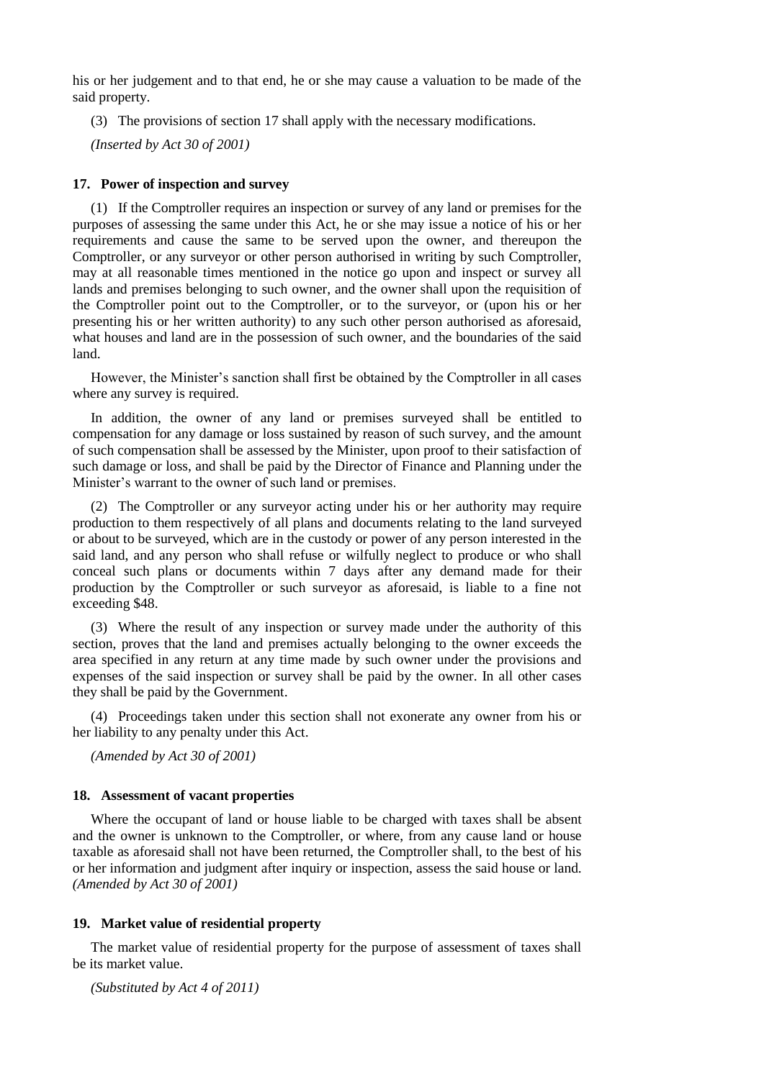his or her judgement and to that end, he or she may cause a valuation to be made of the said property.

(3) The provisions of section 17 shall apply with the necessary modifications.

*(Inserted by Act 30 of 2001)*

## **17. Power of inspection and survey**

(1) If the Comptroller requires an inspection or survey of any land or premises for the purposes of assessing the same under this Act, he or she may issue a notice of his or her requirements and cause the same to be served upon the owner, and thereupon the Comptroller, or any surveyor or other person authorised in writing by such Comptroller, may at all reasonable times mentioned in the notice go upon and inspect or survey all lands and premises belonging to such owner, and the owner shall upon the requisition of the Comptroller point out to the Comptroller, or to the surveyor, or (upon his or her presenting his or her written authority) to any such other person authorised as aforesaid, what houses and land are in the possession of such owner, and the boundaries of the said land.

However, the Minister's sanction shall first be obtained by the Comptroller in all cases where any survey is required.

In addition, the owner of any land or premises surveyed shall be entitled to compensation for any damage or loss sustained by reason of such survey, and the amount of such compensation shall be assessed by the Minister, upon proof to their satisfaction of such damage or loss, and shall be paid by the Director of Finance and Planning under the Minister's warrant to the owner of such land or premises.

(2) The Comptroller or any surveyor acting under his or her authority may require production to them respectively of all plans and documents relating to the land surveyed or about to be surveyed, which are in the custody or power of any person interested in the said land, and any person who shall refuse or wilfully neglect to produce or who shall conceal such plans or documents within 7 days after any demand made for their production by the Comptroller or such surveyor as aforesaid, is liable to a fine not exceeding \$48.

(3) Where the result of any inspection or survey made under the authority of this section, proves that the land and premises actually belonging to the owner exceeds the area specified in any return at any time made by such owner under the provisions and expenses of the said inspection or survey shall be paid by the owner. In all other cases they shall be paid by the Government.

(4) Proceedings taken under this section shall not exonerate any owner from his or her liability to any penalty under this Act.

*(Amended by Act 30 of 2001)*

## **18. Assessment of vacant properties**

Where the occupant of land or house liable to be charged with taxes shall be absent and the owner is unknown to the Comptroller, or where, from any cause land or house taxable as aforesaid shall not have been returned, the Comptroller shall, to the best of his or her information and judgment after inquiry or inspection, assess the said house or land. *(Amended by Act 30 of 2001)*

## **19. Market value of residential property**

The market value of residential property for the purpose of assessment of taxes shall be its market value.

*(Substituted by Act 4 of 2011)*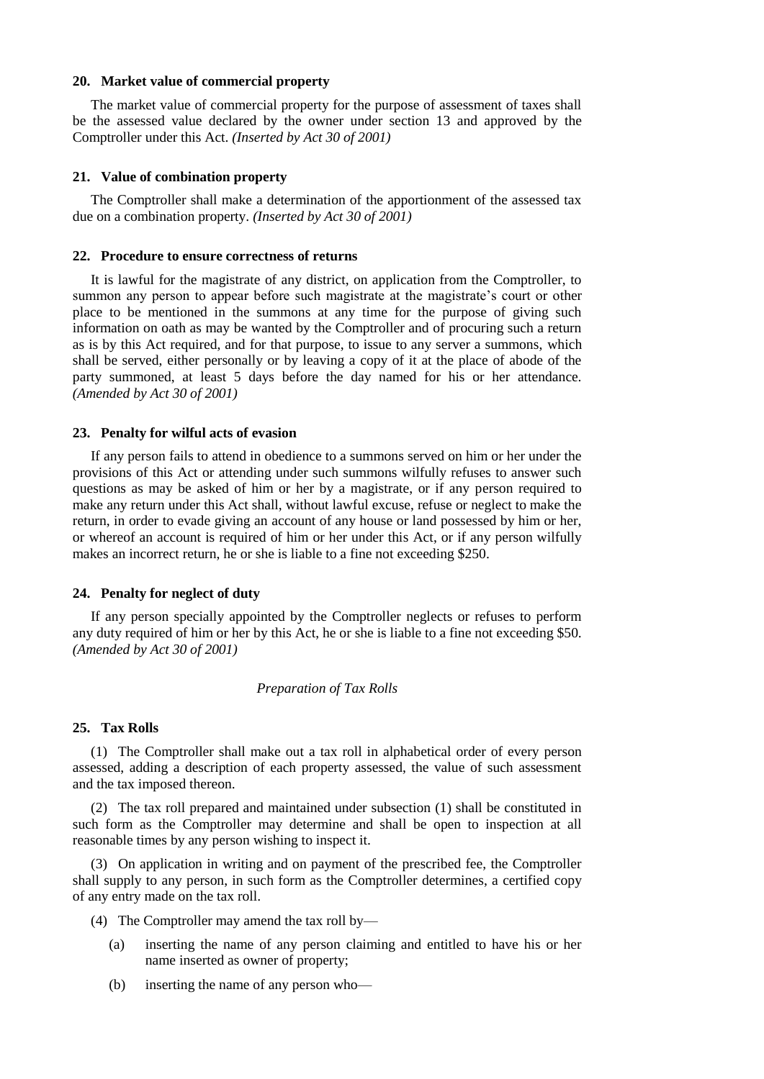## **20. Market value of commercial property**

The market value of commercial property for the purpose of assessment of taxes shall be the assessed value declared by the owner under section 13 and approved by the Comptroller under this Act. *(Inserted by Act 30 of 2001)*

### **21. Value of combination property**

The Comptroller shall make a determination of the apportionment of the assessed tax due on a combination property. *(Inserted by Act 30 of 2001)*

### **22. Procedure to ensure correctness of returns**

It is lawful for the magistrate of any district, on application from the Comptroller, to summon any person to appear before such magistrate at the magistrate's court or other place to be mentioned in the summons at any time for the purpose of giving such information on oath as may be wanted by the Comptroller and of procuring such a return as is by this Act required, and for that purpose, to issue to any server a summons, which shall be served, either personally or by leaving a copy of it at the place of abode of the party summoned, at least 5 days before the day named for his or her attendance. *(Amended by Act 30 of 2001)*

## **23. Penalty for wilful acts of evasion**

If any person fails to attend in obedience to a summons served on him or her under the provisions of this Act or attending under such summons wilfully refuses to answer such questions as may be asked of him or her by a magistrate, or if any person required to make any return under this Act shall, without lawful excuse, refuse or neglect to make the return, in order to evade giving an account of any house or land possessed by him or her, or whereof an account is required of him or her under this Act, or if any person wilfully makes an incorrect return, he or she is liable to a fine not exceeding \$250.

### **24. Penalty for neglect of duty**

If any person specially appointed by the Comptroller neglects or refuses to perform any duty required of him or her by this Act, he or she is liable to a fine not exceeding \$50. *(Amended by Act 30 of 2001)*

## *Preparation of Tax Rolls*

# **25. Tax Rolls**

(1) The Comptroller shall make out a tax roll in alphabetical order of every person assessed, adding a description of each property assessed, the value of such assessment and the tax imposed thereon.

(2) The tax roll prepared and maintained under subsection (1) shall be constituted in such form as the Comptroller may determine and shall be open to inspection at all reasonable times by any person wishing to inspect it.

(3) On application in writing and on payment of the prescribed fee, the Comptroller shall supply to any person, in such form as the Comptroller determines, a certified copy of any entry made on the tax roll.

- (4) The Comptroller may amend the tax roll by—
	- (a) inserting the name of any person claiming and entitled to have his or her name inserted as owner of property;
	- (b) inserting the name of any person who—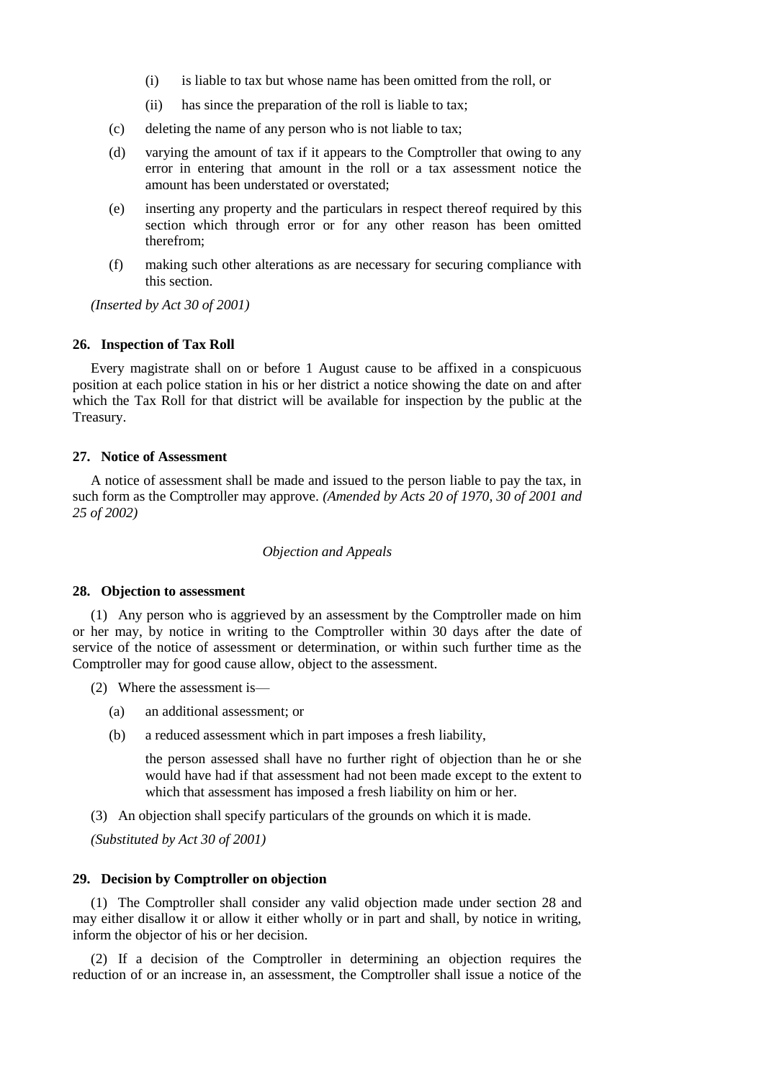- (i) is liable to tax but whose name has been omitted from the roll, or
- (ii) has since the preparation of the roll is liable to tax;
- (c) deleting the name of any person who is not liable to tax;
- (d) varying the amount of tax if it appears to the Comptroller that owing to any error in entering that amount in the roll or a tax assessment notice the amount has been understated or overstated:
- (e) inserting any property and the particulars in respect thereof required by this section which through error or for any other reason has been omitted therefrom;
- (f) making such other alterations as are necessary for securing compliance with this section.

*(Inserted by Act 30 of 2001)*

### **26. Inspection of Tax Roll**

Every magistrate shall on or before 1 August cause to be affixed in a conspicuous position at each police station in his or her district a notice showing the date on and after which the Tax Roll for that district will be available for inspection by the public at the Treasury.

### **27. Notice of Assessment**

A notice of assessment shall be made and issued to the person liable to pay the tax, in such form as the Comptroller may approve. *(Amended by Acts 20 of 1970, 30 of 2001 and 25 of 2002)*

## *Objection and Appeals*

### **28. Objection to assessment**

(1) Any person who is aggrieved by an assessment by the Comptroller made on him or her may, by notice in writing to the Comptroller within 30 days after the date of service of the notice of assessment or determination, or within such further time as the Comptroller may for good cause allow, object to the assessment.

- (2) Where the assessment is—
	- (a) an additional assessment; or
	- (b) a reduced assessment which in part imposes a fresh liability,

the person assessed shall have no further right of objection than he or she would have had if that assessment had not been made except to the extent to which that assessment has imposed a fresh liability on him or her.

(3) An objection shall specify particulars of the grounds on which it is made.

*(Substituted by Act 30 of 2001)*

### **29. Decision by Comptroller on objection**

(1) The Comptroller shall consider any valid objection made under section 28 and may either disallow it or allow it either wholly or in part and shall, by notice in writing, inform the objector of his or her decision.

(2) If a decision of the Comptroller in determining an objection requires the reduction of or an increase in, an assessment, the Comptroller shall issue a notice of the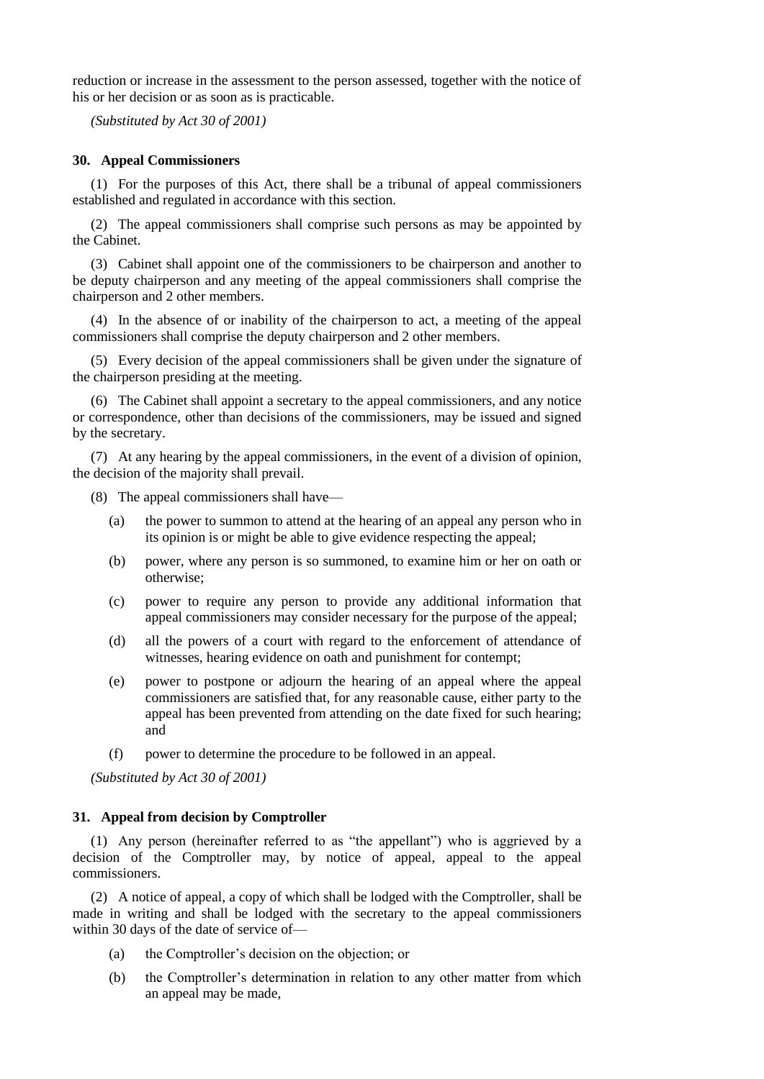reduction or increase in the assessment to the person assessed, together with the notice of his or her decision or as soon as is practicable.

*(Substituted by Act 30 of 2001)*

# **30. Appeal Commissioners**

(1) For the purposes of this Act, there shall be a tribunal of appeal commissioners established and regulated in accordance with this section.

(2) The appeal commissioners shall comprise such persons as may be appointed by the Cabinet.

(3) Cabinet shall appoint one of the commissioners to be chairperson and another to be deputy chairperson and any meeting of the appeal commissioners shall comprise the chairperson and 2 other members.

(4) In the absence of or inability of the chairperson to act, a meeting of the appeal commissioners shall comprise the deputy chairperson and 2 other members.

(5) Every decision of the appeal commissioners shall be given under the signature of the chairperson presiding at the meeting.

(6) The Cabinet shall appoint a secretary to the appeal commissioners, and any notice or correspondence, other than decisions of the commissioners, may be issued and signed by the secretary.

(7) At any hearing by the appeal commissioners, in the event of a division of opinion, the decision of the majority shall prevail.

(8) The appeal commissioners shall have—

- (a) the power to summon to attend at the hearing of an appeal any person who in its opinion is or might be able to give evidence respecting the appeal;
- (b) power, where any person is so summoned, to examine him or her on oath or otherwise;
- (c) power to require any person to provide any additional information that appeal commissioners may consider necessary for the purpose of the appeal;
- (d) all the powers of a court with regard to the enforcement of attendance of witnesses, hearing evidence on oath and punishment for contempt;
- (e) power to postpone or adjourn the hearing of an appeal where the appeal commissioners are satisfied that, for any reasonable cause, either party to the appeal has been prevented from attending on the date fixed for such hearing; and
- (f) power to determine the procedure to be followed in an appeal.

*(Substituted by Act 30 of 2001)*

## **31. Appeal from decision by Comptroller**

(1) Any person (hereinafter referred to as "the appellant") who is aggrieved by a decision of the Comptroller may, by notice of appeal, appeal to the appeal commissioners.

(2) A notice of appeal, a copy of which shall be lodged with the Comptroller, shall be made in writing and shall be lodged with the secretary to the appeal commissioners within 30 days of the date of service of—

- (a) the Comptroller's decision on the objection; or
- (b) the Comptroller's determination in relation to any other matter from which an appeal may be made,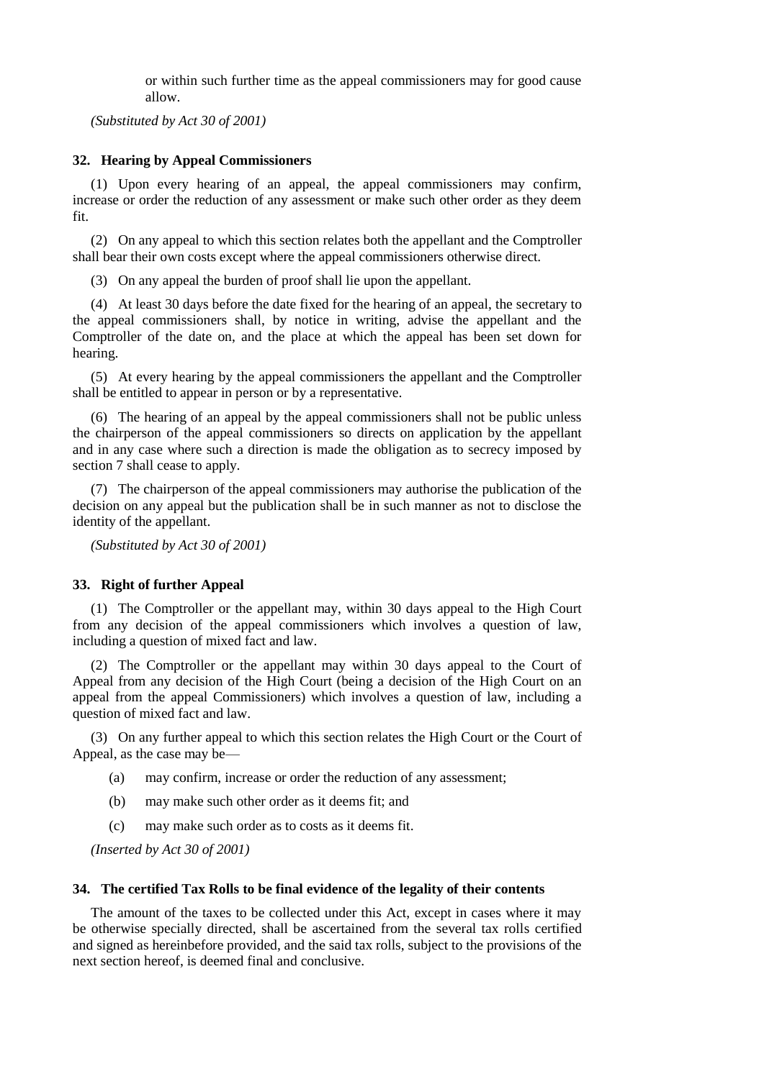or within such further time as the appeal commissioners may for good cause allow.

*(Substituted by Act 30 of 2001)*

# **32. Hearing by Appeal Commissioners**

(1) Upon every hearing of an appeal, the appeal commissioners may confirm, increase or order the reduction of any assessment or make such other order as they deem fit.

(2) On any appeal to which this section relates both the appellant and the Comptroller shall bear their own costs except where the appeal commissioners otherwise direct.

(3) On any appeal the burden of proof shall lie upon the appellant.

(4) At least 30 days before the date fixed for the hearing of an appeal, the secretary to the appeal commissioners shall, by notice in writing, advise the appellant and the Comptroller of the date on, and the place at which the appeal has been set down for hearing.

(5) At every hearing by the appeal commissioners the appellant and the Comptroller shall be entitled to appear in person or by a representative.

(6) The hearing of an appeal by the appeal commissioners shall not be public unless the chairperson of the appeal commissioners so directs on application by the appellant and in any case where such a direction is made the obligation as to secrecy imposed by section 7 shall cease to apply.

(7) The chairperson of the appeal commissioners may authorise the publication of the decision on any appeal but the publication shall be in such manner as not to disclose the identity of the appellant.

*(Substituted by Act 30 of 2001)*

## **33. Right of further Appeal**

(1) The Comptroller or the appellant may, within 30 days appeal to the High Court from any decision of the appeal commissioners which involves a question of law, including a question of mixed fact and law.

(2) The Comptroller or the appellant may within 30 days appeal to the Court of Appeal from any decision of the High Court (being a decision of the High Court on an appeal from the appeal Commissioners) which involves a question of law, including a question of mixed fact and law.

(3) On any further appeal to which this section relates the High Court or the Court of Appeal, as the case may be—

- (a) may confirm, increase or order the reduction of any assessment;
- (b) may make such other order as it deems fit; and
- (c) may make such order as to costs as it deems fit.

*(Inserted by Act 30 of 2001)*

## **34. The certified Tax Rolls to be final evidence of the legality of their contents**

The amount of the taxes to be collected under this Act, except in cases where it may be otherwise specially directed, shall be ascertained from the several tax rolls certified and signed as hereinbefore provided, and the said tax rolls, subject to the provisions of the next section hereof, is deemed final and conclusive.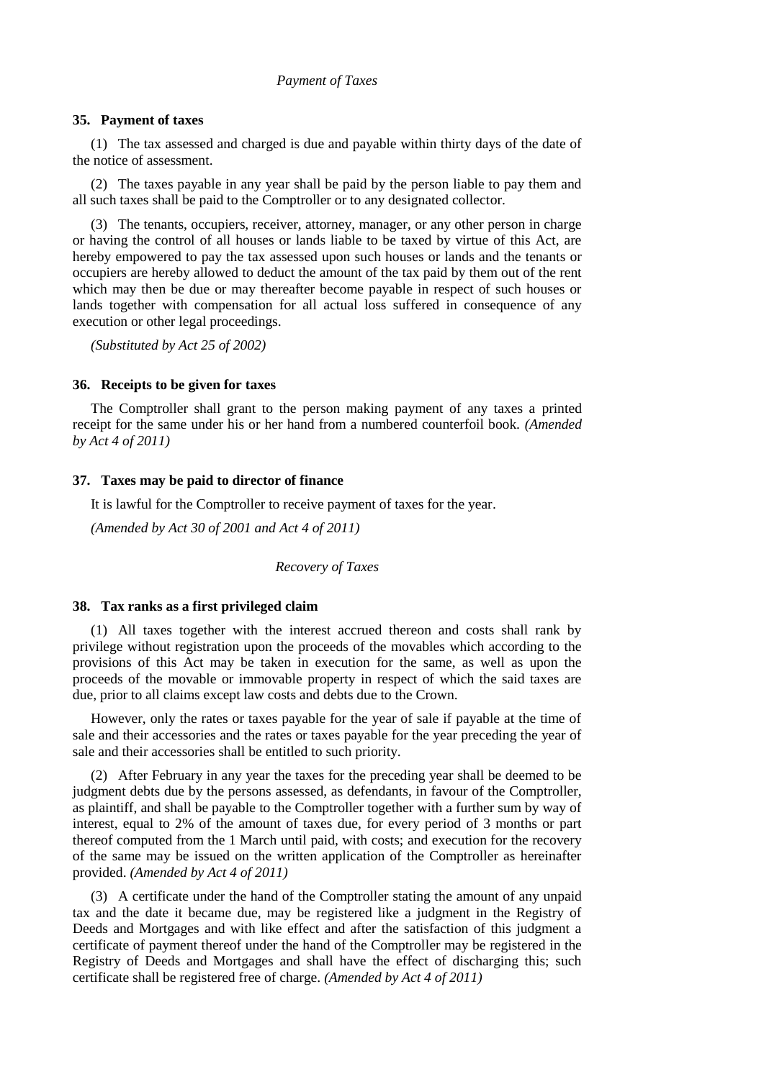# *Payment of Taxes*

## **35. Payment of taxes**

(1) The tax assessed and charged is due and payable within thirty days of the date of the notice of assessment.

(2) The taxes payable in any year shall be paid by the person liable to pay them and all such taxes shall be paid to the Comptroller or to any designated collector.

(3) The tenants, occupiers, receiver, attorney, manager, or any other person in charge or having the control of all houses or lands liable to be taxed by virtue of this Act, are hereby empowered to pay the tax assessed upon such houses or lands and the tenants or occupiers are hereby allowed to deduct the amount of the tax paid by them out of the rent which may then be due or may thereafter become payable in respect of such houses or lands together with compensation for all actual loss suffered in consequence of any execution or other legal proceedings.

*(Substituted by Act 25 of 2002)*

### **36. Receipts to be given for taxes**

The Comptroller shall grant to the person making payment of any taxes a printed receipt for the same under his or her hand from a numbered counterfoil book. *(Amended by Act 4 of 2011)*

#### **37. Taxes may be paid to director of finance**

It is lawful for the Comptroller to receive payment of taxes for the year.

*(Amended by Act 30 of 2001 and Act 4 of 2011)*

## *Recovery of Taxes*

#### **38. Tax ranks as a first privileged claim**

(1) All taxes together with the interest accrued thereon and costs shall rank by privilege without registration upon the proceeds of the movables which according to the provisions of this Act may be taken in execution for the same, as well as upon the proceeds of the movable or immovable property in respect of which the said taxes are due, prior to all claims except law costs and debts due to the Crown.

However, only the rates or taxes payable for the year of sale if payable at the time of sale and their accessories and the rates or taxes payable for the year preceding the year of sale and their accessories shall be entitled to such priority.

(2) After February in any year the taxes for the preceding year shall be deemed to be judgment debts due by the persons assessed, as defendants, in favour of the Comptroller, as plaintiff, and shall be payable to the Comptroller together with a further sum by way of interest, equal to 2% of the amount of taxes due, for every period of 3 months or part thereof computed from the 1 March until paid, with costs; and execution for the recovery of the same may be issued on the written application of the Comptroller as hereinafter provided. *(Amended by Act 4 of 2011)*

(3) A certificate under the hand of the Comptroller stating the amount of any unpaid tax and the date it became due, may be registered like a judgment in the Registry of Deeds and Mortgages and with like effect and after the satisfaction of this judgment a certificate of payment thereof under the hand of the Comptroller may be registered in the Registry of Deeds and Mortgages and shall have the effect of discharging this; such certificate shall be registered free of charge. *(Amended by Act 4 of 2011)*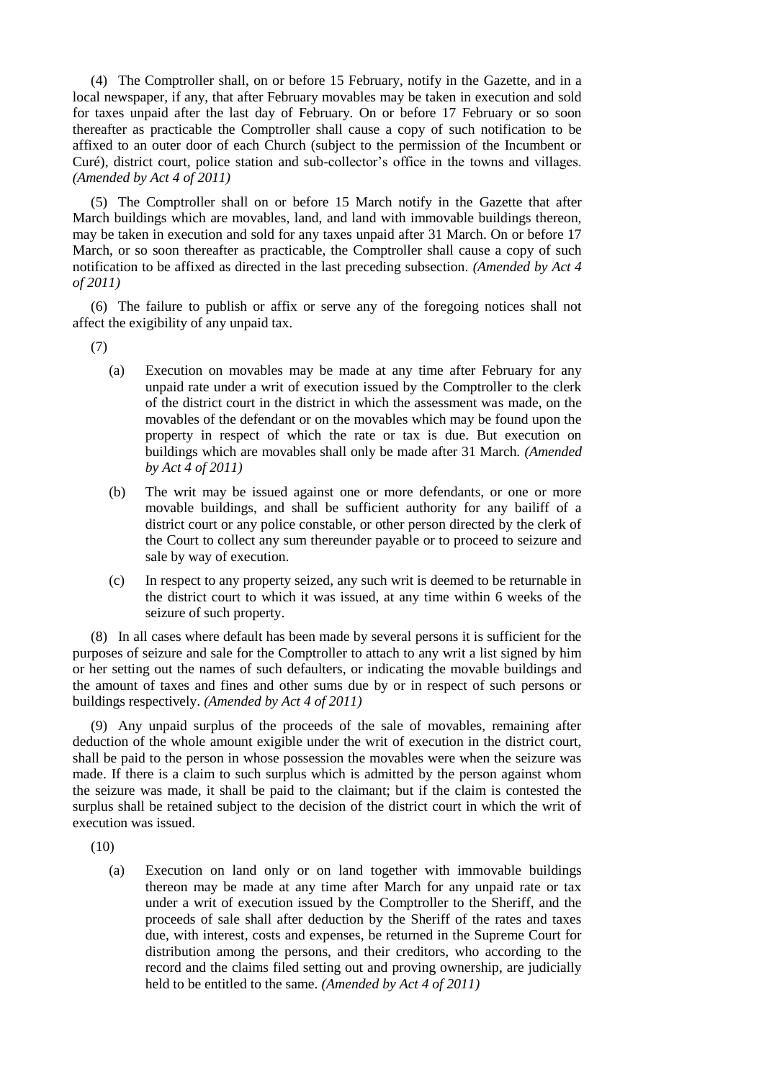(4) The Comptroller shall, on or before 15 February, notify in the Gazette, and in a local newspaper, if any, that after February movables may be taken in execution and sold for taxes unpaid after the last day of February. On or before 17 February or so soon thereafter as practicable the Comptroller shall cause a copy of such notification to be affixed to an outer door of each Church (subject to the permission of the Incumbent or Curé), district court, police station and sub-collector's office in the towns and villages. *(Amended by Act 4 of 2011)*

(5) The Comptroller shall on or before 15 March notify in the Gazette that after March buildings which are movables, land, and land with immovable buildings thereon, may be taken in execution and sold for any taxes unpaid after 31 March. On or before 17 March, or so soon thereafter as practicable, the Comptroller shall cause a copy of such notification to be affixed as directed in the last preceding subsection. *(Amended by Act 4 of 2011)*

(6) The failure to publish or affix or serve any of the foregoing notices shall not affect the exigibility of any unpaid tax.

(7)

- (a) Execution on movables may be made at any time after February for any unpaid rate under a writ of execution issued by the Comptroller to the clerk of the district court in the district in which the assessment was made, on the movables of the defendant or on the movables which may be found upon the property in respect of which the rate or tax is due. But execution on buildings which are movables shall only be made after 31 March. *(Amended by Act 4 of 2011)*
- (b) The writ may be issued against one or more defendants, or one or more movable buildings, and shall be sufficient authority for any bailiff of a district court or any police constable, or other person directed by the clerk of the Court to collect any sum thereunder payable or to proceed to seizure and sale by way of execution.
- (c) In respect to any property seized, any such writ is deemed to be returnable in the district court to which it was issued, at any time within 6 weeks of the seizure of such property.

(8) In all cases where default has been made by several persons it is sufficient for the purposes of seizure and sale for the Comptroller to attach to any writ a list signed by him or her setting out the names of such defaulters, or indicating the movable buildings and the amount of taxes and fines and other sums due by or in respect of such persons or buildings respectively. *(Amended by Act 4 of 2011)*

(9) Any unpaid surplus of the proceeds of the sale of movables, remaining after deduction of the whole amount exigible under the writ of execution in the district court, shall be paid to the person in whose possession the movables were when the seizure was made. If there is a claim to such surplus which is admitted by the person against whom the seizure was made, it shall be paid to the claimant; but if the claim is contested the surplus shall be retained subject to the decision of the district court in which the writ of execution was issued.

(10)

(a) Execution on land only or on land together with immovable buildings thereon may be made at any time after March for any unpaid rate or tax under a writ of execution issued by the Comptroller to the Sheriff, and the proceeds of sale shall after deduction by the Sheriff of the rates and taxes due, with interest, costs and expenses, be returned in the Supreme Court for distribution among the persons, and their creditors, who according to the record and the claims filed setting out and proving ownership, are judicially held to be entitled to the same. *(Amended by Act 4 of 2011)*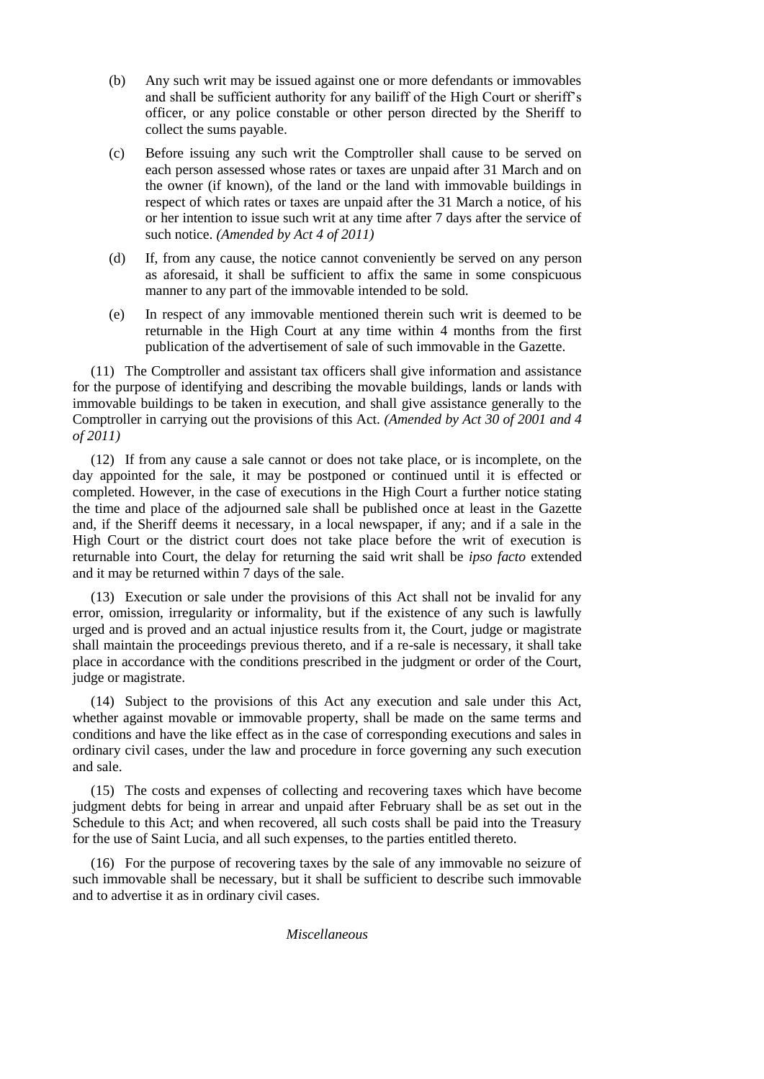- (b) Any such writ may be issued against one or more defendants or immovables and shall be sufficient authority for any bailiff of the High Court or sheriff's officer, or any police constable or other person directed by the Sheriff to collect the sums payable.
- (c) Before issuing any such writ the Comptroller shall cause to be served on each person assessed whose rates or taxes are unpaid after 31 March and on the owner (if known), of the land or the land with immovable buildings in respect of which rates or taxes are unpaid after the 31 March a notice, of his or her intention to issue such writ at any time after 7 days after the service of such notice. *(Amended by Act 4 of 2011)*
- (d) If, from any cause, the notice cannot conveniently be served on any person as aforesaid, it shall be sufficient to affix the same in some conspicuous manner to any part of the immovable intended to be sold.
- (e) In respect of any immovable mentioned therein such writ is deemed to be returnable in the High Court at any time within 4 months from the first publication of the advertisement of sale of such immovable in the Gazette.

(11) The Comptroller and assistant tax officers shall give information and assistance for the purpose of identifying and describing the movable buildings, lands or lands with immovable buildings to be taken in execution, and shall give assistance generally to the Comptroller in carrying out the provisions of this Act. *(Amended by Act 30 of 2001 and 4 of 2011)*

(12) If from any cause a sale cannot or does not take place, or is incomplete, on the day appointed for the sale, it may be postponed or continued until it is effected or completed. However, in the case of executions in the High Court a further notice stating the time and place of the adjourned sale shall be published once at least in the Gazette and, if the Sheriff deems it necessary, in a local newspaper, if any; and if a sale in the High Court or the district court does not take place before the writ of execution is returnable into Court, the delay for returning the said writ shall be *ipso facto* extended and it may be returned within 7 days of the sale.

(13) Execution or sale under the provisions of this Act shall not be invalid for any error, omission, irregularity or informality, but if the existence of any such is lawfully urged and is proved and an actual injustice results from it, the Court, judge or magistrate shall maintain the proceedings previous thereto, and if a re-sale is necessary, it shall take place in accordance with the conditions prescribed in the judgment or order of the Court, judge or magistrate.

(14) Subject to the provisions of this Act any execution and sale under this Act, whether against movable or immovable property, shall be made on the same terms and conditions and have the like effect as in the case of corresponding executions and sales in ordinary civil cases, under the law and procedure in force governing any such execution and sale.

(15) The costs and expenses of collecting and recovering taxes which have become judgment debts for being in arrear and unpaid after February shall be as set out in the Schedule to this Act; and when recovered, all such costs shall be paid into the Treasury for the use of Saint Lucia, and all such expenses, to the parties entitled thereto.

(16) For the purpose of recovering taxes by the sale of any immovable no seizure of such immovable shall be necessary, but it shall be sufficient to describe such immovable and to advertise it as in ordinary civil cases.

*Miscellaneous*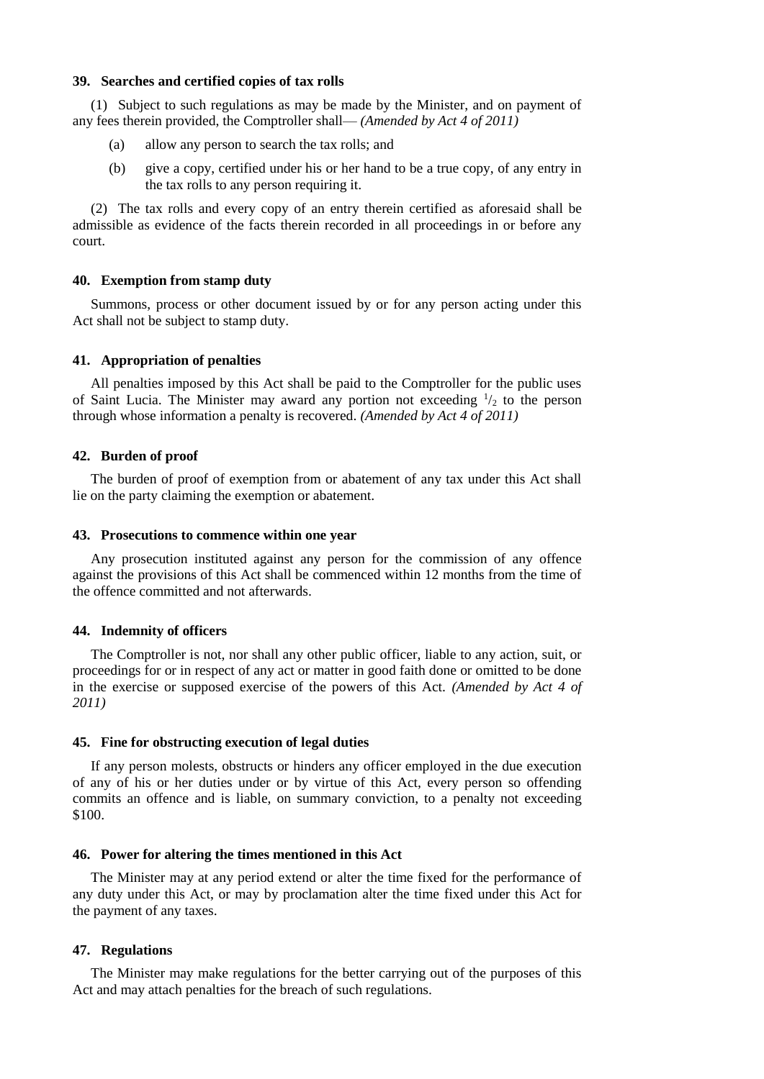## **39. Searches and certified copies of tax rolls**

(1) Subject to such regulations as may be made by the Minister, and on payment of any fees therein provided, the Comptroller shall— *(Amended by Act 4 of 2011)*

- (a) allow any person to search the tax rolls; and
- (b) give a copy, certified under his or her hand to be a true copy, of any entry in the tax rolls to any person requiring it.

(2) The tax rolls and every copy of an entry therein certified as aforesaid shall be admissible as evidence of the facts therein recorded in all proceedings in or before any court.

### **40. Exemption from stamp duty**

Summons, process or other document issued by or for any person acting under this Act shall not be subject to stamp duty.

### **41. Appropriation of penalties**

All penalties imposed by this Act shall be paid to the Comptroller for the public uses of Saint Lucia. The Minister may award any portion not exceeding  $\frac{1}{2}$  to the person through whose information a penalty is recovered. *(Amended by Act 4 of 2011)*

## **42. Burden of proof**

The burden of proof of exemption from or abatement of any tax under this Act shall lie on the party claiming the exemption or abatement.

### **43. Prosecutions to commence within one year**

Any prosecution instituted against any person for the commission of any offence against the provisions of this Act shall be commenced within 12 months from the time of the offence committed and not afterwards.

### **44. Indemnity of officers**

The Comptroller is not, nor shall any other public officer, liable to any action, suit, or proceedings for or in respect of any act or matter in good faith done or omitted to be done in the exercise or supposed exercise of the powers of this Act. *(Amended by Act 4 of 2011)*

### **45. Fine for obstructing execution of legal duties**

If any person molests, obstructs or hinders any officer employed in the due execution of any of his or her duties under or by virtue of this Act, every person so offending commits an offence and is liable, on summary conviction, to a penalty not exceeding \$100.

### **46. Power for altering the times mentioned in this Act**

The Minister may at any period extend or alter the time fixed for the performance of any duty under this Act, or may by proclamation alter the time fixed under this Act for the payment of any taxes.

## **47. Regulations**

The Minister may make regulations for the better carrying out of the purposes of this Act and may attach penalties for the breach of such regulations.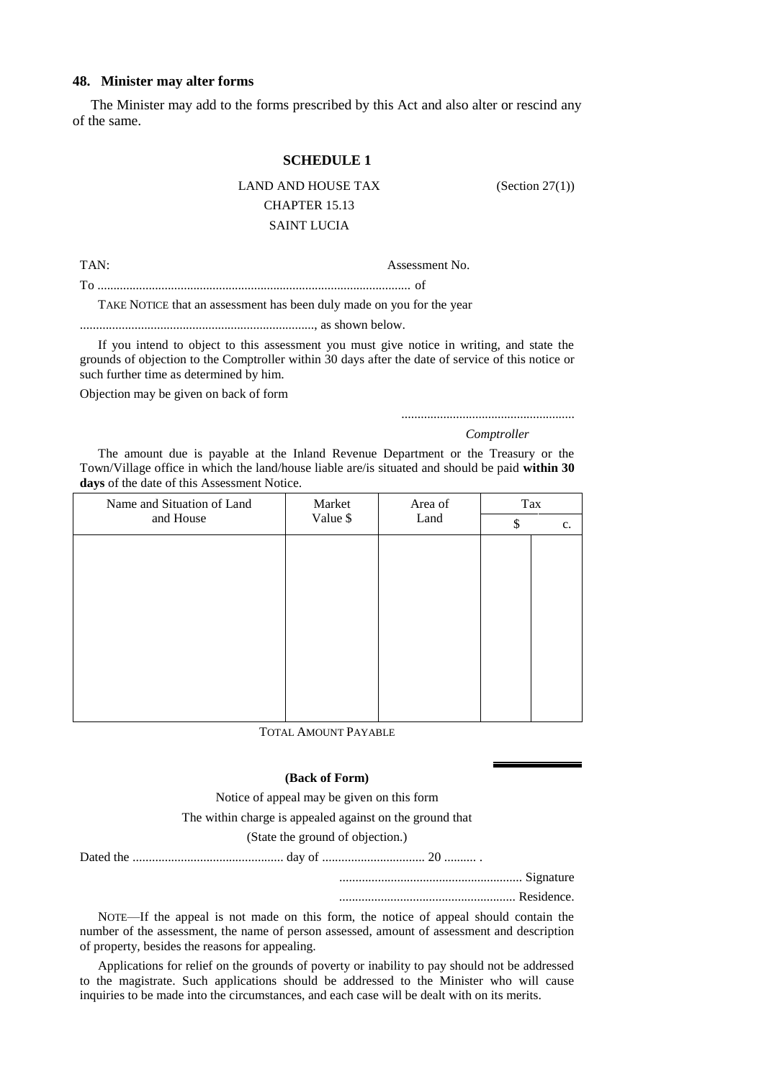# **48. Minister may alter forms**

The Minister may add to the forms prescribed by this Act and also alter or rescind any of the same.

## **SCHEDULE 1**

# LAND AND HOUSE TAX (Section 27(1)) CHAPTER 15.13 SAINT LUCIA

TAN: Assessment No.

To .................................................................................................. of

TAKE NOTICE that an assessment has been duly made on you for the year

........................................................................., as shown below.

If you intend to object to this assessment you must give notice in writing, and state the grounds of objection to the Comptroller within 30 days after the date of service of this notice or such further time as determined by him.

Objection may be given on back of form

......................................................

*Comptroller*

The amount due is payable at the Inland Revenue Department or the Treasury or the Town/Village office in which the land/house liable are/is situated and should be paid **within 30 days** of the date of this Assessment Notice.

| Name and Situation of Land | Market<br>Area of<br>Value \$<br>Land |    | Tax |  |
|----------------------------|---------------------------------------|----|-----|--|
| and House                  |                                       | \$ | c.  |  |
|                            |                                       |    |     |  |
|                            |                                       |    |     |  |
|                            |                                       |    |     |  |
|                            |                                       |    |     |  |
|                            |                                       |    |     |  |
|                            |                                       |    |     |  |
|                            |                                       |    |     |  |
|                            |                                       |    |     |  |
|                            |                                       |    |     |  |
|                            |                                       |    |     |  |

TOTAL AMOUNT PAYABLE

## **(Back of Form)**

Notice of appeal may be given on this form

The within charge is appealed against on the ground that

### (State the ground of objection.)

Dated the ............................................... day of ................................ 20 .......... .

......................................................... Signature

....................................................... Residence.

NOTE—If the appeal is not made on this form, the notice of appeal should contain the number of the assessment, the name of person assessed, amount of assessment and description of property, besides the reasons for appealing.

Applications for relief on the grounds of poverty or inability to pay should not be addressed to the magistrate. Such applications should be addressed to the Minister who will cause inquiries to be made into the circumstances, and each case will be dealt with on its merits.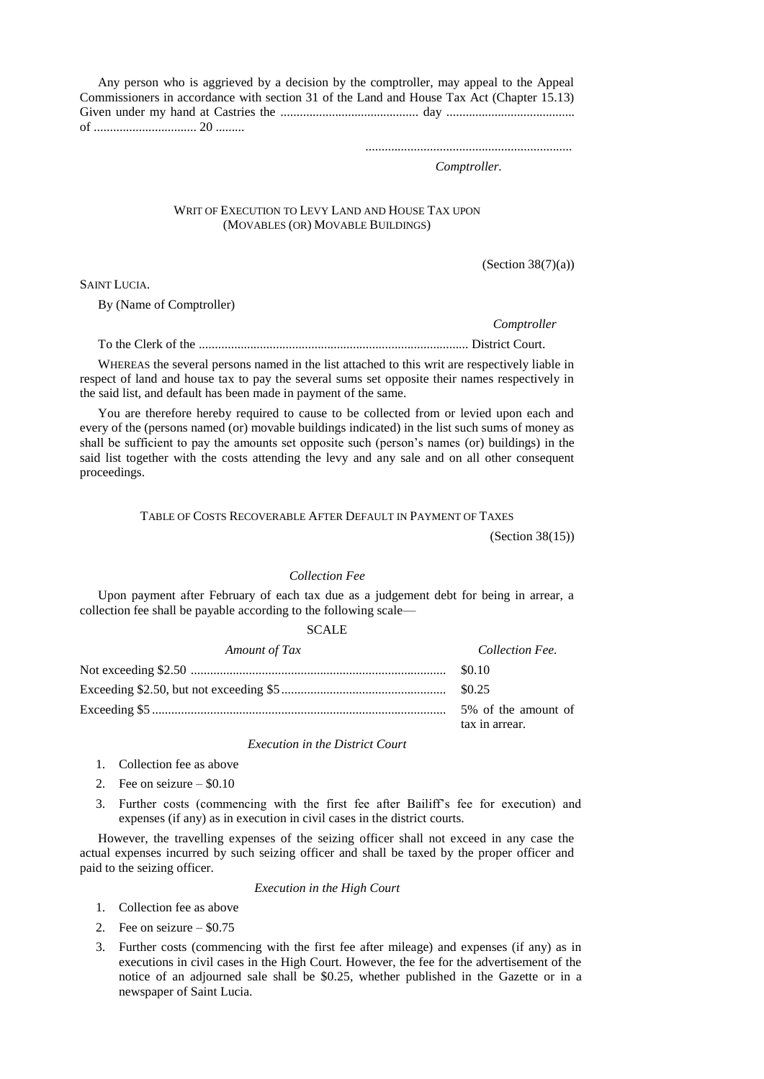Any person who is aggrieved by a decision by the comptroller, may appeal to the Appeal Commissioners in accordance with section 31 of the Land and House Tax Act (Chapter 15.13) Given under my hand at Castries the ........................................... day ........................................ of ................................ 20 .........

................................................................

*Comptroller.*

### WRIT OF EXECUTION TO LEVY LAND AND HOUSE TAX UPON (MOVABLES (OR) MOVABLE BUILDINGS)

 $(Section 38(7)(a))$ 

*Comptroller*

SAINT LUCIA.

By (Name of Comptroller)

To the Clerk of the .................................................................................... District Court.

WHEREAS the several persons named in the list attached to this writ are respectively liable in respect of land and house tax to pay the several sums set opposite their names respectively in the said list, and default has been made in payment of the same.

You are therefore hereby required to cause to be collected from or levied upon each and every of the (persons named (or) movable buildings indicated) in the list such sums of money as shall be sufficient to pay the amounts set opposite such (person's names (or) buildings) in the said list together with the costs attending the levy and any sale and on all other consequent proceedings.

TABLE OF COSTS RECOVERABLE AFTER DEFAULT IN PAYMENT OF TAXES

(Section 38(15))

#### *Collection Fee*

Upon payment after February of each tax due as a judgement debt for being in arrear, a collection fee shall be payable according to the following scale—

# SCALE

| Amount of Tax | Collection Fee.                       |  |
|---------------|---------------------------------------|--|
|               |                                       |  |
|               |                                       |  |
|               | 5% of the amount of<br>tax in arrear. |  |

### *Execution in the District Court*

- 1. Collection fee as above
- 2. Fee on seizure  $-$  \$0.10
- 3. Further costs (commencing with the first fee after Bailiff's fee for execution) and expenses (if any) as in execution in civil cases in the district courts.

However, the travelling expenses of the seizing officer shall not exceed in any case the actual expenses incurred by such seizing officer and shall be taxed by the proper officer and paid to the seizing officer.

*Execution in the High Court*

- 1. Collection fee as above
- 2. Fee on seizure \$0.75
- 3. Further costs (commencing with the first fee after mileage) and expenses (if any) as in executions in civil cases in the High Court. However, the fee for the advertisement of the notice of an adjourned sale shall be \$0.25, whether published in the Gazette or in a newspaper of Saint Lucia.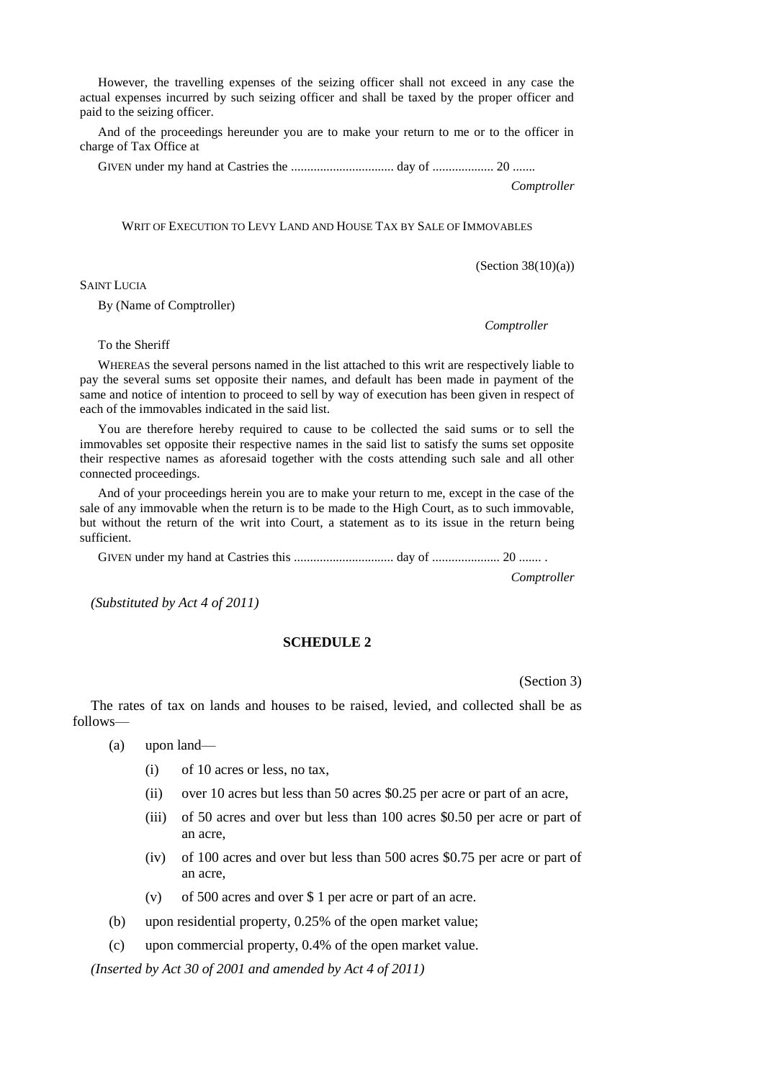However, the travelling expenses of the seizing officer shall not exceed in any case the actual expenses incurred by such seizing officer and shall be taxed by the proper officer and paid to the seizing officer.

And of the proceedings hereunder you are to make your return to me or to the officer in charge of Tax Office at

GIVEN under my hand at Castries the ................................ day of ................... 20 .......

*Comptroller*

WRIT OF EXECUTION TO LEVY LAND AND HOUSE TAX BY SALE OF IMMOVABLES

 $(Section 38(10)(a))$ 

SAINT LUCIA

By (Name of Comptroller)

*Comptroller*

To the Sheriff

WHEREAS the several persons named in the list attached to this writ are respectively liable to pay the several sums set opposite their names, and default has been made in payment of the same and notice of intention to proceed to sell by way of execution has been given in respect of each of the immovables indicated in the said list.

You are therefore hereby required to cause to be collected the said sums or to sell the immovables set opposite their respective names in the said list to satisfy the sums set opposite their respective names as aforesaid together with the costs attending such sale and all other connected proceedings.

And of your proceedings herein you are to make your return to me, except in the case of the sale of any immovable when the return is to be made to the High Court, as to such immovable, but without the return of the writ into Court, a statement as to its issue in the return being sufficient.

GIVEN under my hand at Castries this ............................... day of ..................... 20 ....... .

*Comptroller*

*(Substituted by Act 4 of 2011)*

# **SCHEDULE 2**

(Section 3)

The rates of tax on lands and houses to be raised, levied, and collected shall be as follows—

- (a) upon land—
	- (i) of 10 acres or less, no tax,
	- (ii) over 10 acres but less than 50 acres \$0.25 per acre or part of an acre,
	- (iii) of 50 acres and over but less than 100 acres \$0.50 per acre or part of an acre,
	- (iv) of 100 acres and over but less than 500 acres \$0.75 per acre or part of an acre,
	- (v) of 500 acres and over \$ 1 per acre or part of an acre.
- (b) upon residential property, 0.25% of the open market value;
- (c) upon commercial property, 0.4% of the open market value.

*(Inserted by Act 30 of 2001 and amended by Act 4 of 2011)*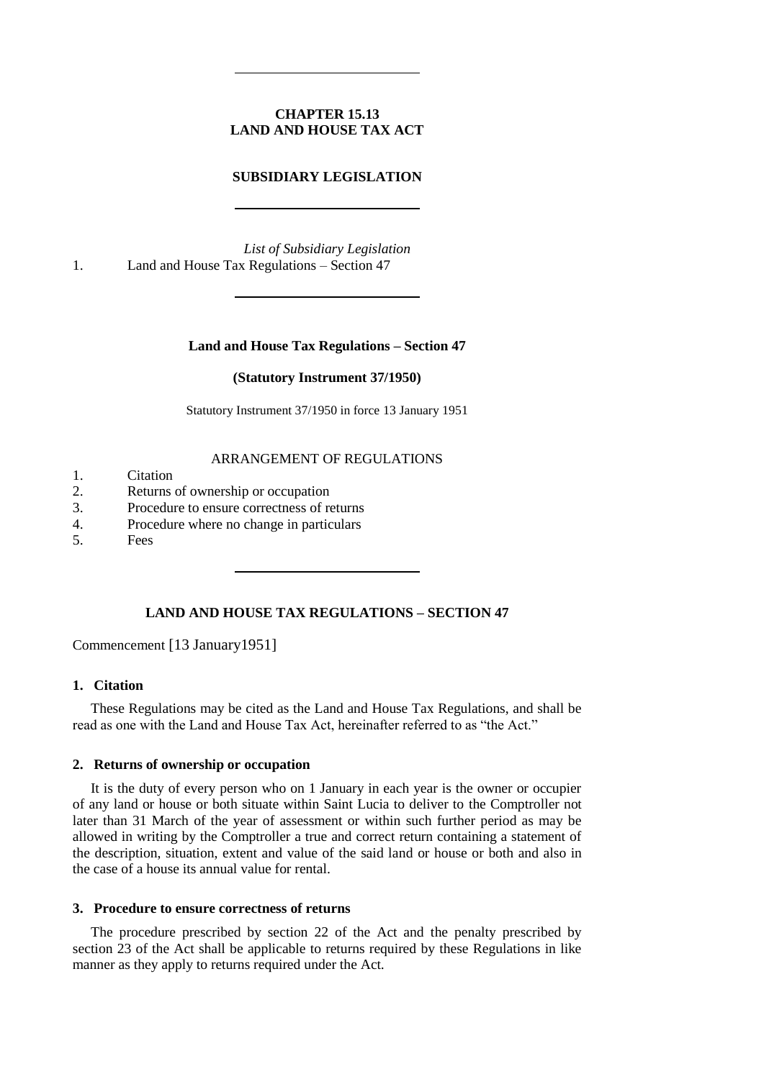# **CHAPTER 15.13 LAND AND HOUSE TAX ACT**

# **SUBSIDIARY LEGISLATION**

*List of Subsidiary Legislation* 1. Land and House Tax Regulations – Section 47

## **Land and House Tax Regulations – Section 47**

### **(Statutory Instrument 37/1950)**

Statutory Instrument 37/1950 in force 13 January 1951

## ARRANGEMENT OF REGULATIONS

- 1. Citation
- 2. Returns of ownership or occupation
- 3. Procedure to ensure correctness of returns
- 4. Procedure where no change in particulars
- 5. Fees

# **LAND AND HOUSE TAX REGULATIONS – SECTION 47**

Commencement [13 January1951]

# **1. Citation**

These Regulations may be cited as the Land and House Tax Regulations, and shall be read as one with the Land and House Tax Act, hereinafter referred to as "the Act."

## **2. Returns of ownership or occupation**

It is the duty of every person who on 1 January in each year is the owner or occupier of any land or house or both situate within Saint Lucia to deliver to the Comptroller not later than 31 March of the year of assessment or within such further period as may be allowed in writing by the Comptroller a true and correct return containing a statement of the description, situation, extent and value of the said land or house or both and also in the case of a house its annual value for rental.

### **3. Procedure to ensure correctness of returns**

The procedure prescribed by section 22 of the Act and the penalty prescribed by section 23 of the Act shall be applicable to returns required by these Regulations in like manner as they apply to returns required under the Act.